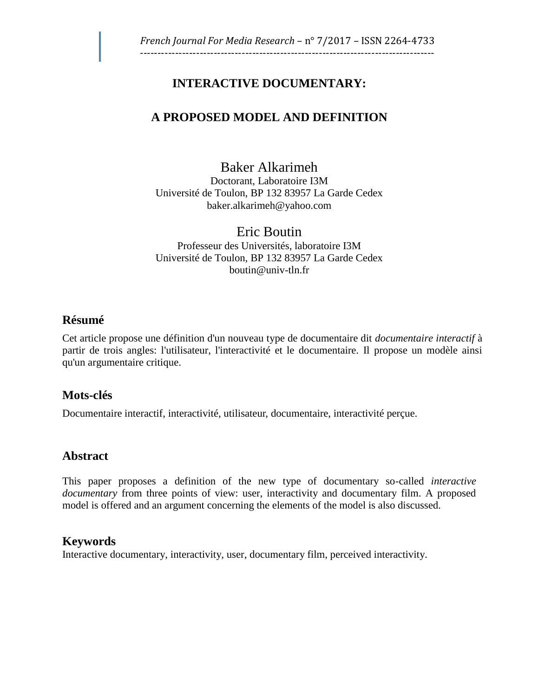# **INTERACTIVE DOCUMENTARY:**

# **A PROPOSED MODEL AND DEFINITION**

Baker Alkarimeh Doctorant, Laboratoire I3M Université de Toulon, BP 132 83957 La Garde Cedex [baker.alkarimeh@yahoo.com](mailto:baker.alkarimeh@yahoo.com)

Eric Boutin Professeur des Universités, laboratoire I3M Université de Toulon, BP 132 83957 La Garde Cedex [boutin@univ-tln.fr](mailto:boutin@univ-tln.fr)

# **Résumé**

Cet article propose une définition d'un nouveau type de documentaire dit *documentaire interactif* à partir de trois angles: l'utilisateur, l'interactivité et le documentaire. Il propose un modèle ainsi qu'un argumentaire critique.

# **Mots-clés**

Documentaire interactif, interactivité, utilisateur, documentaire, interactivité perçue.

# **Abstract**

This paper proposes a definition of the new type of documentary so-called *interactive documentary* from three points of view: user, interactivity and documentary film. A proposed model is offered and an argument concerning the elements of the model is also discussed.

# **Keywords**

Interactive documentary, interactivity, user, documentary film, perceived interactivity.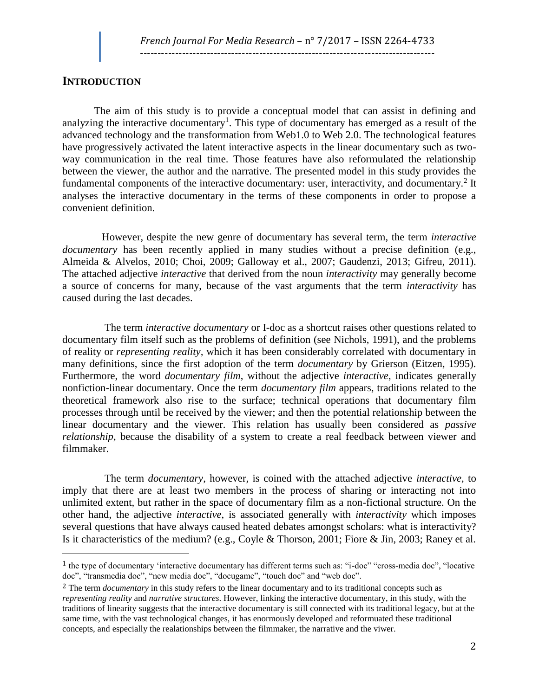### **INTRODUCTION**

 $\overline{a}$ 

The aim of this study is to provide a conceptual model that can assist in defining and analyzing the interactive documentary<sup>1</sup>. This type of documentary has emerged as a result of the advanced technology and the transformation from Web1.0 to Web 2.0. The technological features have progressively activated the latent interactive aspects in the linear documentary such as twoway communication in the real time. Those features have also reformulated the relationship between the viewer, the author and the narrative. The presented model in this study provides the fundamental components of the interactive documentary: user, interactivity, and documentary.<sup>2</sup> It analyses the interactive documentary in the terms of these components in order to propose a convenient definition.

 However, despite the new genre of documentary has several term, the term *interactive documentary* has been recently applied in many studies without a precise definition (e.g., Almeida & Alvelos, 2010; Choi, 2009; Galloway et al., 2007; Gaudenzi, 2013; Gifreu, 2011). The attached adjective *interactive* that derived from the noun *interactivity* may generally become a source of concerns for many, because of the vast arguments that the term *interactivity* has caused during the last decades.

 The term *interactive documentary* or I-doc as a shortcut raises other questions related to documentary film itself such as the problems of definition (see Nichols, 1991), and the problems of reality or *representing reality,* which it has been considerably correlated with documentary in many definitions, since the first adoption of the term *documentary* by Grierson (Eitzen, 1995). Furthermore, the word *documentary film*, without the adjective *interactive*, indicates generally nonfiction-linear documentary. Once the term *documentary film* appears, traditions related to the theoretical framework also rise to the surface; technical operations that documentary film processes through until be received by the viewer; and then the potential relationship between the linear documentary and the viewer. This relation has usually been considered as *passive relationship*, because the disability of a system to create a real feedback between viewer and filmmaker.

 The term *documentary*, however, is coined with the attached adjective *interactive*, to imply that there are at least two members in the process of sharing or interacting not into unlimited extent, but rather in the space of documentary film as a non-fictional structure. On the other hand, the adjective *interactive*, is associated generally with *interactivity* which imposes several questions that have always caused heated debates amongst scholars: what is interactivity? Is it characteristics of the medium? (e.g., Coyle & Thorson, 2001; Fiore & Jin, 2003; Raney et al.

<sup>1</sup> the type of documentary 'interactive documentary has different terms such as: "i-doc" "cross-media doc", "locative doc", "transmedia doc", "new media doc", "docugame", "touch doc" and "web doc".

<sup>2</sup> The term *documentary* in this study refers to the linear documentary and to its traditional concepts such as *representing reality* and *narrative structures*. However, linking the interactive documentary, in this study, with the traditions of linearity suggests that the interactive documentary is still connected with its traditional legacy, but at the same time, with the vast technological changes, it has enormously developed and reformuated these traditional concepts, and especially the realationships between the filmmaker, the narrative and the viwer.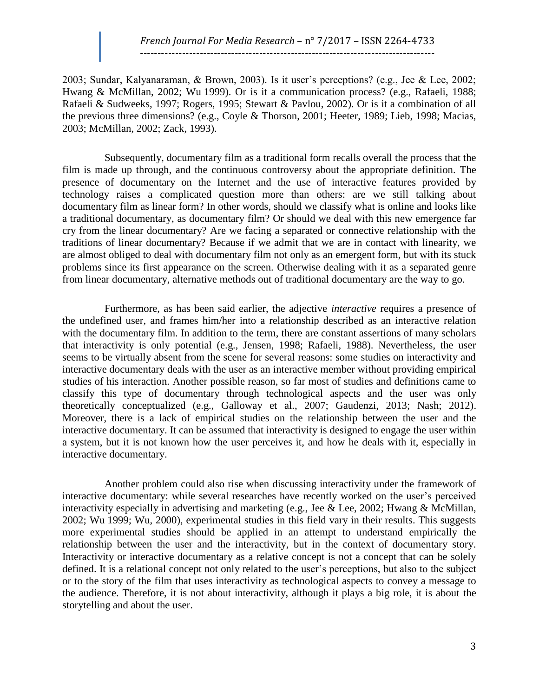2003; Sundar, Kalyanaraman, & Brown, 2003). Is it user's perceptions? (e.g., Jee & Lee, 2002; Hwang & McMillan, 2002; Wu 1999). Or is it a communication process? (e.g., Rafaeli, 1988; Rafaeli & Sudweeks, 1997; Rogers, 1995; Stewart & Pavlou, 2002). Or is it a combination of all the previous three dimensions? (e.g., Coyle & Thorson, 2001; Heeter, 1989; Lieb, 1998; Macias, 2003; McMillan, 2002; Zack, 1993).

 Subsequently, documentary film as a traditional form recalls overall the process that the film is made up through, and the continuous controversy about the appropriate definition. The presence of documentary on the Internet and the use of interactive features provided by technology raises a complicated question more than others: are we still talking about documentary film as linear form? In other words, should we classify what is online and looks like a traditional documentary, as documentary film? Or should we deal with this new emergence far cry from the linear documentary? Are we facing a separated or connective relationship with the traditions of linear documentary? Because if we admit that we are in contact with linearity, we are almost obliged to deal with documentary film not only as an emergent form, but with its stuck problems since its first appearance on the screen. Otherwise dealing with it as a separated genre from linear documentary, alternative methods out of traditional documentary are the way to go.

 Furthermore, as has been said earlier, the adjective *interactive* requires a presence of the undefined user, and frames him/her into a relationship described as an interactive relation with the documentary film. In addition to the term, there are constant assertions of many scholars that interactivity is only potential (e.g., Jensen, 1998; Rafaeli, 1988). Nevertheless, the user seems to be virtually absent from the scene for several reasons: some studies on interactivity and interactive documentary deals with the user as an interactive member without providing empirical studies of his interaction. Another possible reason, so far most of studies and definitions came to classify this type of documentary through technological aspects and the user was only theoretically conceptualized (e.g., Galloway et al., 2007; Gaudenzi, 2013; Nash; 2012). Moreover, there is a lack of empirical studies on the relationship between the user and the interactive documentary. It can be assumed that interactivity is designed to engage the user within a system, but it is not known how the user perceives it, and how he deals with it, especially in interactive documentary.

 Another problem could also rise when discussing interactivity under the framework of interactive documentary: while several researches have recently worked on the user's perceived interactivity especially in advertising and marketing (e.g., Jee & Lee, 2002; Hwang & McMillan, 2002; Wu 1999; Wu, 2000), experimental studies in this field vary in their results. This suggests more experimental studies should be applied in an attempt to understand empirically the relationship between the user and the interactivity, but in the context of documentary story. Interactivity or interactive documentary as a relative concept is not a concept that can be solely defined. It is a relational concept not only related to the user's perceptions, but also to the subject or to the story of the film that uses interactivity as technological aspects to convey a message to the audience. Therefore, it is not about interactivity, although it plays a big role, it is about the storytelling and about the user.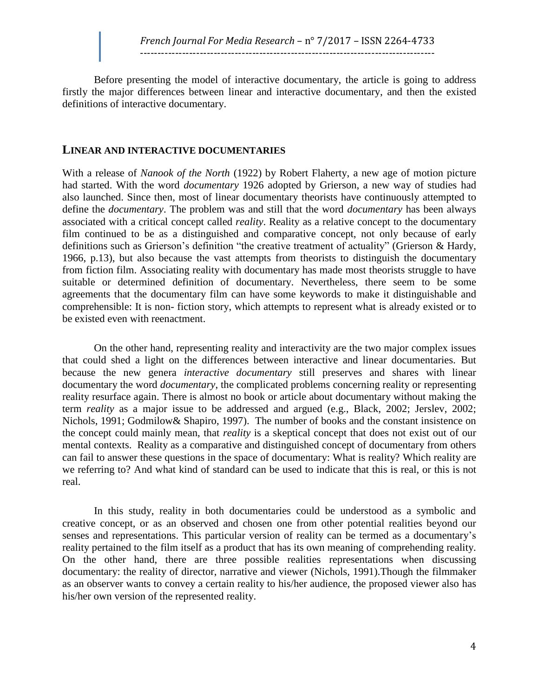Before presenting the model of interactive documentary, the article is going to address firstly the major differences between linear and interactive documentary, and then the existed definitions of interactive documentary.

#### **LINEAR AND INTERACTIVE DOCUMENTARIES**

With a release of *Nanook of the North* (1922) by Robert Flaherty, a new age of motion picture had started. With the word *documentary* 1926 adopted by Grierson, a new way of studies had also launched. Since then, most of linear documentary theorists have continuously attempted to define the *documentary*. The problem was and still that the word *documentary* has been always associated with a critical concept called *reality*. Reality as a relative concept to the documentary film continued to be as a distinguished and comparative concept, not only because of early definitions such as Grierson's definition "the creative treatment of actuality" (Grierson & Hardy, 1966, p.13), but also because the vast attempts from theorists to distinguish the documentary from fiction film. Associating reality with documentary has made most theorists struggle to have suitable or determined definition of documentary. Nevertheless, there seem to be some agreements that the documentary film can have some keywords to make it distinguishable and comprehensible: It is non- fiction story, which attempts to represent what is already existed or to be existed even with reenactment.

On the other hand, representing reality and interactivity are the two major complex issues that could shed a light on the differences between interactive and linear documentaries. But because the new genera *interactive documentary* still preserves and shares with linear documentary the word *documentary*, the complicated problems concerning reality or representing reality resurface again. There is almost no book or article about documentary without making the term *reality* as a major issue to be addressed and argued (e.g., Black, 2002; Jerslev, 2002; Nichols, 1991; Godmilow& Shapiro, 1997). The number of books and the constant insistence on the concept could mainly mean, that *reality* is a skeptical concept that does not exist out of our mental contexts. Reality as a comparative and distinguished concept of documentary from others can fail to answer these questions in the space of documentary: What is reality? Which reality are we referring to? And what kind of standard can be used to indicate that this is real, or this is not real.

In this study, reality in both documentaries could be understood as a symbolic and creative concept, or as an observed and chosen one from other potential realities beyond our senses and representations. This particular version of reality can be termed as a documentary's reality pertained to the film itself as a product that has its own meaning of comprehending reality. On the other hand, there are three possible realities representations when discussing documentary: the reality of director, narrative and viewer (Nichols, 1991).Though the filmmaker as an observer wants to convey a certain reality to his/her audience, the proposed viewer also has his/her own version of the represented reality.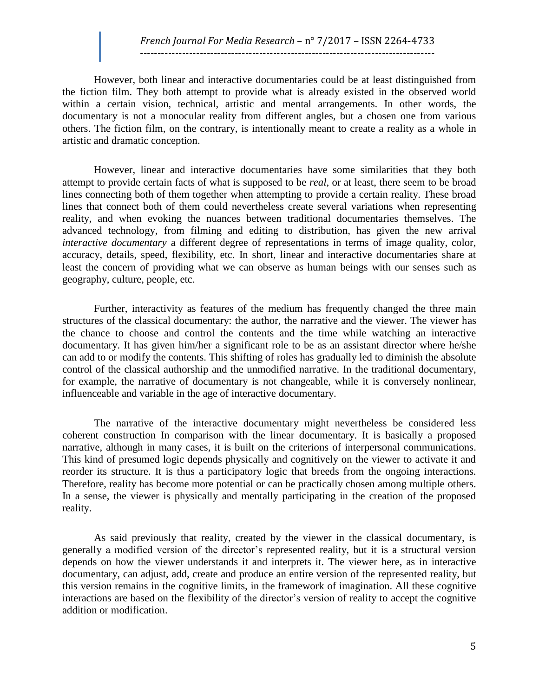#### *French Journal For Media Research* – n° 7/2017 – ISSN 2264-4733 ------------------------------------------------------------------------------------

However, both linear and interactive documentaries could be at least distinguished from the fiction film. They both attempt to provide what is already existed in the observed world within a certain vision, technical, artistic and mental arrangements. In other words, the documentary is not a monocular reality from different angles, but a chosen one from various others. The fiction film, on the contrary, is intentionally meant to create a reality as a whole in artistic and dramatic conception.

However, linear and interactive documentaries have some similarities that they both attempt to provide certain facts of what is supposed to be *real*, or at least, there seem to be broad lines connecting both of them together when attempting to provide a certain reality. These broad lines that connect both of them could nevertheless create several variations when representing reality, and when evoking the nuances between traditional documentaries themselves. The advanced technology, from filming and editing to distribution, has given the new arrival *interactive documentary* a different degree of representations in terms of image quality, color, accuracy, details, speed, flexibility, etc. In short, linear and interactive documentaries share at least the concern of providing what we can observe as human beings with our senses such as geography, culture, people, etc.

Further, interactivity as features of the medium has frequently changed the three main structures of the classical documentary: the author, the narrative and the viewer. The viewer has the chance to choose and control the contents and the time while watching an interactive documentary. It has given him/her a significant role to be as an assistant director where he/she can add to or modify the contents. This shifting of roles has gradually led to diminish the absolute control of the classical authorship and the unmodified narrative. In the traditional documentary, for example, the narrative of documentary is not changeable, while it is conversely nonlinear, influenceable and variable in the age of interactive documentary.

The narrative of the interactive documentary might nevertheless be considered less coherent construction In comparison with the linear documentary. It is basically a proposed narrative, although in many cases, it is built on the criterions of interpersonal communications. This kind of presumed logic depends physically and cognitively on the viewer to activate it and reorder its structure. It is thus a participatory logic that breeds from the ongoing interactions. Therefore, reality has become more potential or can be practically chosen among multiple others. In a sense, the viewer is physically and mentally participating in the creation of the proposed reality.

As said previously that reality, created by the viewer in the classical documentary, is generally a modified version of the director's represented reality, but it is a structural version depends on how the viewer understands it and interprets it. The viewer here, as in interactive documentary, can adjust, add, create and produce an entire version of the represented reality, but this version remains in the cognitive limits, in the framework of imagination. All these cognitive interactions are based on the flexibility of the director's version of reality to accept the cognitive addition or modification.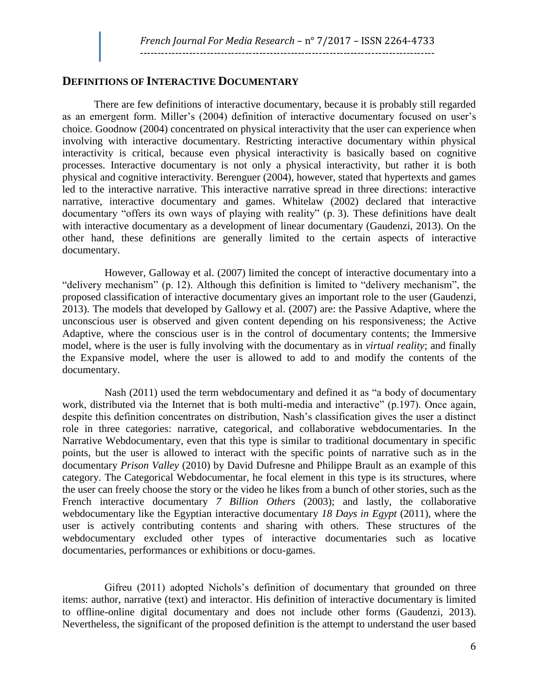#### **DEFINITIONS OF INTERACTIVE DOCUMENTARY**

There are few definitions of interactive documentary, because it is probably still regarded as an emergent form. Miller's (2004) definition of interactive documentary focused on user's choice. Goodnow (2004) concentrated on physical interactivity that the user can experience when involving with interactive documentary. Restricting interactive documentary within physical interactivity is critical, because even physical interactivity is basically based on cognitive processes. Interactive documentary is not only a physical interactivity, but rather it is both physical and cognitive interactivity. Berenguer (2004), however, stated that hypertexts and games led to the interactive narrative. This interactive narrative spread in three directions: interactive narrative, interactive documentary and games. Whitelaw (2002) declared that interactive documentary "offers its own ways of playing with reality" (p. 3). These definitions have dealt with interactive documentary as a development of linear documentary (Gaudenzi, 2013). On the other hand, these definitions are generally limited to the certain aspects of interactive documentary.

 However, Galloway et al. (2007) limited the concept of interactive documentary into a "delivery mechanism" (p. 12). Although this definition is limited to "delivery mechanism", the proposed classification of interactive documentary gives an important role to the user (Gaudenzi, 2013). The models that developed by Gallowy et al. (2007) are: the Passive Adaptive, where the unconscious user is observed and given content depending on his responsiveness; the Active Adaptive, where the conscious user is in the control of documentary contents; the Immersive model, where is the user is fully involving with the documentary as in *virtual reality*; and finally the Expansive model, where the user is allowed to add to and modify the contents of the documentary.

 Nash (2011) used the term webdocumentary and defined it as "a body of documentary work, distributed via the Internet that is both multi-media and interactive" (p.197). Once again, despite this definition concentrates on distribution, Nash's classification gives the user a distinct role in three categories: narrative, categorical, and collaborative webdocumentaries. In the Narrative Webdocumentary, even that this type is similar to traditional documentary in specific points, but the user is allowed to interact with the specific points of narrative such as in the documentary *Prison Valley* (2010) by David Dufresne and Philippe Brault as an example of this category. The Categorical Webdocumentar, he focal element in this type is its structures, where the user can freely choose the story or the video he likes from a bunch of other stories, such as the French interactive documentary *7 Billion Others* (2003); and lastly, the collaborative webdocumentary like the Egyptian interactive documentary *18 Days in Egypt* (2011), where the user is actively contributing contents and sharing with others. These structures of the webdocumentary excluded other types of interactive documentaries such as locative documentaries, performances or exhibitions or docu-games.

 Gifreu (2011) adopted Nichols's definition of documentary that grounded on three items: author, narrative (text) and interactor. His definition of interactive documentary is limited to offline-online digital documentary and does not include other forms (Gaudenzi, 2013). Nevertheless, the significant of the proposed definition is the attempt to understand the user based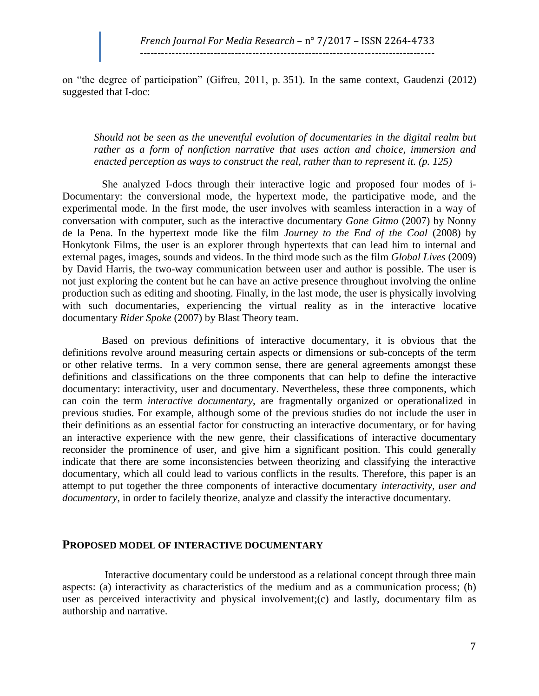on "the degree of participation" (Gifreu, 2011, p. 351). In the same context, Gaudenzi (2012) suggested that I-doc:

*Should not be seen as the uneventful evolution of documentaries in the digital realm but rather as a form of nonfiction narrative that uses action and choice, immersion and enacted perception as ways to construct the real, rather than to represent it. (p. 125)*

 She analyzed I-docs through their interactive logic and proposed four modes of i-Documentary: the conversional mode, the hypertext mode, the participative mode, and the experimental mode. In the first mode, the user involves with seamless interaction in a way of conversation with computer, such as the interactive documentary *Gone Gitmo* (2007) by Nonny de la Pena. In the hypertext mode like the film *Journey to the End of the Coal* (2008) by Honkytonk Films*,* the user is an explorer through hypertexts that can lead him to internal and external pages, images, sounds and videos. In the third mode such as the film *Global Lives* (2009) by David Harris, the two-way communication between user and author is possible. The user is not just exploring the content but he can have an active presence throughout involving the online production such as editing and shooting. Finally, in the last mode, the user is physically involving with such documentaries, experiencing the virtual reality as in the interactive locative documentary *Rider Spoke* (2007) by Blast Theory team.

 Based on previous definitions of interactive documentary, it is obvious that the definitions revolve around measuring certain aspects or dimensions or sub-concepts of the term or other relative terms. In a very common sense, there are general agreements amongst these definitions and classifications on the three components that can help to define the interactive documentary: interactivity, user and documentary. Nevertheless, these three components, which can coin the term *interactive documentary*, are fragmentally organized or operationalized in previous studies. For example, although some of the previous studies do not include the user in their definitions as an essential factor for constructing an interactive documentary, or for having an interactive experience with the new genre, their classifications of interactive documentary reconsider the prominence of user, and give him a significant position. This could generally indicate that there are some inconsistencies between theorizing and classifying the interactive documentary, which all could lead to various conflicts in the results. Therefore, this paper is an attempt to put together the three components of interactive documentary *interactivity, user and documentary*, in order to facilely theorize, analyze and classify the interactive documentary.

#### **PROPOSED MODEL OF INTERACTIVE DOCUMENTARY**

 Interactive documentary could be understood as a relational concept through three main aspects: (a) interactivity as characteristics of the medium and as a communication process; (b) user as perceived interactivity and physical involvement;(c) and lastly, documentary film as authorship and narrative.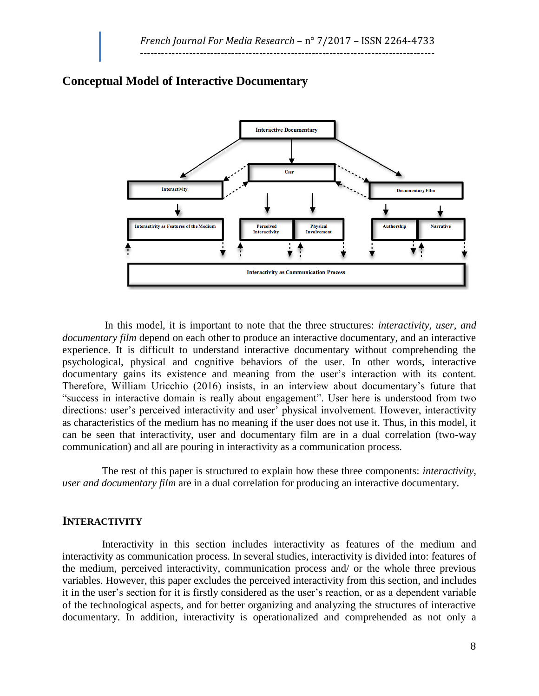

### **Conceptual Model of Interactive Documentary**

 In this model, it is important to note that the three structures: *interactivity, user, and documentary film* depend on each other to produce an interactive documentary, and an interactive experience. It is difficult to understand interactive documentary without comprehending the psychological, physical and cognitive behaviors of the user. In other words, interactive documentary gains its existence and meaning from the user's interaction with its content. Therefore, William Uricchio (2016) insists, in an interview about documentary's future that "success in interactive domain is really about engagement". User here is understood from two directions: user's perceived interactivity and user' physical involvement. However, interactivity as characteristics of the medium has no meaning if the user does not use it. Thus, in this model, it can be seen that interactivity, user and documentary film are in a dual correlation (two-way communication) and all are pouring in interactivity as a communication process.

 The rest of this paper is structured to explain how these three components: *interactivity, user and documentary film* are in a dual correlation for producing an interactive documentary.

#### **INTERACTIVITY**

 Interactivity in this section includes interactivity as features of the medium and interactivity as communication process. In several studies, interactivity is divided into: features of the medium, perceived interactivity, communication process and/ or the whole three previous variables. However, this paper excludes the perceived interactivity from this section, and includes it in the user's section for it is firstly considered as the user's reaction, or as a dependent variable of the technological aspects, and for better organizing and analyzing the structures of interactive documentary. In addition, interactivity is operationalized and comprehended as not only a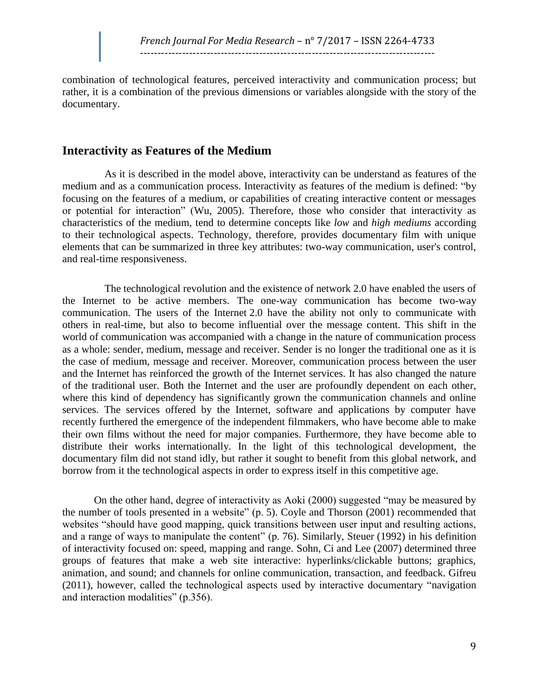combination of technological features, perceived interactivity and communication process; but rather, it is a combination of the previous dimensions or variables alongside with the story of the documentary.

### **Interactivity as Features of the Medium**

 As it is described in the model above, interactivity can be understand as features of the medium and as a communication process. Interactivity as features of the medium is defined: "by focusing on the features of a medium, or capabilities of creating interactive content or messages or potential for interaction" (Wu, 2005). Therefore, those who consider that interactivity as characteristics of the medium, tend to determine concepts like *low* and *high mediums* according to their technological aspects. Technology, therefore, provides documentary film with unique elements that can be summarized in three key attributes: two-way communication, user's control, and real-time responsiveness.

 The technological revolution and the existence of network 2.0 have enabled the users of the Internet to be active members. The one-way communication has become two-way communication. The users of the Internet 2.0 have the ability not only to communicate with others in real-time, but also to become influential over the message content. This shift in the world of communication was accompanied with a change in the nature of communication process as a whole: sender, medium, message and receiver. Sender is no longer the traditional one as it is the case of medium, message and receiver. Moreover, communication process between the user and the Internet has reinforced the growth of the Internet services. It has also changed the nature of the traditional user. Both the Internet and the user are profoundly dependent on each other, where this kind of dependency has significantly grown the communication channels and online services. The services offered by the Internet, software and applications by computer have recently furthered the emergence of the independent filmmakers, who have become able to make their own films without the need for major companies. Furthermore, they have become able to distribute their works internationally. In the light of this technological development, the documentary film did not stand idly, but rather it sought to benefit from this global network, and borrow from it the technological aspects in order to express itself in this competitive age.

On the other hand, degree of interactivity as Aoki (2000) suggested "may be measured by the number of tools presented in a website" (p. 5). Coyle and Thorson (2001) recommended that websites "should have good mapping, quick transitions between user input and resulting actions, and a range of ways to manipulate the content" (p. 76). Similarly, Steuer (1992) in his definition of interactivity focused on: speed, mapping and range. Sohn, Ci and Lee (2007) determined three groups of features that make a web site interactive: hyperlinks/clickable buttons; graphics, animation, and sound; and channels for online communication, transaction, and feedback. Gifreu (2011), however, called the technological aspects used by interactive documentary "navigation and interaction modalities" (p.356).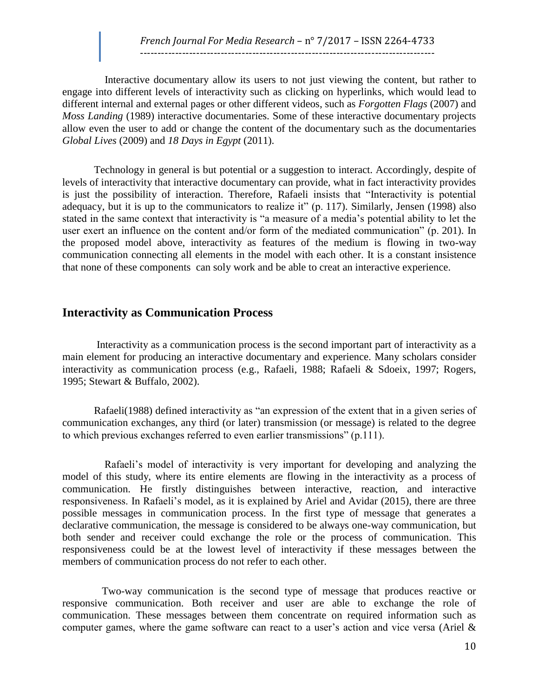Interactive documentary allow its users to not just viewing the content, but rather to engage into different levels of interactivity such as clicking on hyperlinks, which would lead to different internal and external pages or other different videos, such as *Forgotten Flags* (2007) and *Moss Landing* (1989) interactive documentaries. Some of these interactive documentary projects allow even the user to add or change the content of the documentary such as the documentaries *Global Lives* (2009) and *18 Days in Egypt* (2011).

Technology in general is but potential or a suggestion to interact. Accordingly, despite of levels of interactivity that interactive documentary can provide, what in fact interactivity provides is just the possibility of interaction. Therefore, Rafaeli insists that "Interactivity is potential adequacy, but it is up to the communicators to realize it" (p. 117). Similarly, Jensen (1998) also stated in the same context that interactivity is "a measure of a media's potential ability to let the user exert an influence on the content and/or form of the mediated communication" (p. 201). In the proposed model above, interactivity as features of the medium is flowing in two-way communication connecting all elements in the model with each other. It is a constant insistence that none of these components can soly work and be able to creat an interactive experience.

# **Interactivity as Communication Process**

Interactivity as a communication process is the second important part of interactivity as a main element for producing an interactive documentary and experience. Many scholars consider interactivity as communication process (e.g., Rafaeli, 1988; Rafaeli & Sdoeix, 1997; Rogers, 1995; Stewart & Buffalo, 2002).

Rafaeli(1988) defined interactivity as "an expression of the extent that in a given series of communication exchanges, any third (or later) transmission (or message) is related to the degree to which previous exchanges referred to even earlier transmissions" (p.111).

 Rafaeli's model of interactivity is very important for developing and analyzing the model of this study, where its entire elements are flowing in the interactivity as a process of communication. He firstly distinguishes between interactive, reaction, and interactive responsiveness. In Rafaeli's model, as it is explained by Ariel and Avidar (2015), there are three possible messages in communication process. In the first type of message that generates a declarative communication, the message is considered to be always one-way communication, but both sender and receiver could exchange the role or the process of communication. This responsiveness could be at the lowest level of interactivity if these messages between the members of communication process do not refer to each other.

 Two-way communication is the second type of message that produces reactive or responsive communication. Both receiver and user are able to exchange the role of communication. These messages between them concentrate on required information such as computer games, where the game software can react to a user's action and vice versa (Ariel &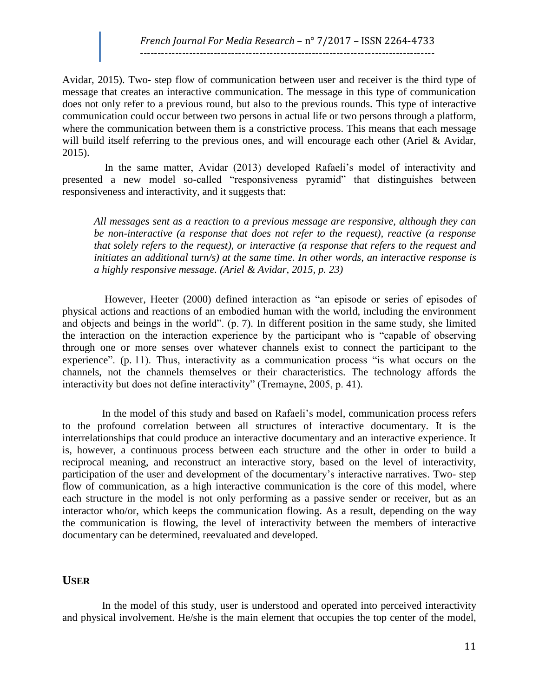#### *French Journal For Media Research* – n° 7/2017 – ISSN 2264-4733 ------------------------------------------------------------------------------------

Avidar, 2015). Two- step flow of communication between user and receiver is the third type of message that creates an interactive communication. The message in this type of communication does not only refer to a previous round, but also to the previous rounds. This type of interactive communication could occur between two persons in actual life or two persons through a platform, where the communication between them is a constrictive process. This means that each message will build itself referring to the previous ones, and will encourage each other (Ariel & Avidar, 2015).

 In the same matter, Avidar (2013) developed Rafaeli's model of interactivity and presented a new model so-called "responsiveness pyramid" that distinguishes between responsiveness and interactivity, and it suggests that:

*All messages sent as a reaction to a previous message are responsive, although they can be non-interactive (a response that does not refer to the request), reactive (a response that solely refers to the request), or interactive (a response that refers to the request and initiates an additional turn/s) at the same time. In other words, an interactive response is a highly responsive message. (Ariel & Avidar, 2015, p. 23)*

 However, Heeter (2000) defined interaction as "an episode or series of episodes of physical actions and reactions of an embodied human with the world, including the environment and objects and beings in the world". (p. 7). In different position in the same study, she limited the interaction on the interaction experience by the participant who is "capable of observing through one or more senses over whatever channels exist to connect the participant to the experience". (p. 11). Thus, interactivity as a communication process "is what occurs on the channels, not the channels themselves or their characteristics. The technology affords the interactivity but does not define interactivity" (Tremayne, 2005, p. 41).

 In the model of this study and based on Rafaeli's model, communication process refers to the profound correlation between all structures of interactive documentary. It is the interrelationships that could produce an interactive documentary and an interactive experience. It is, however, a continuous process between each structure and the other in order to build a reciprocal meaning, and reconstruct an interactive story, based on the level of interactivity, participation of the user and development of the documentary's interactive narratives. Two- step flow of communication, as a high interactive communication is the core of this model, where each structure in the model is not only performing as a passive sender or receiver, but as an interactor who/or, which keeps the communication flowing. As a result, depending on the way the communication is flowing, the level of interactivity between the members of interactive documentary can be determined, reevaluated and developed.

#### **USER**

 In the model of this study, user is understood and operated into perceived interactivity and physical involvement. He/she is the main element that occupies the top center of the model,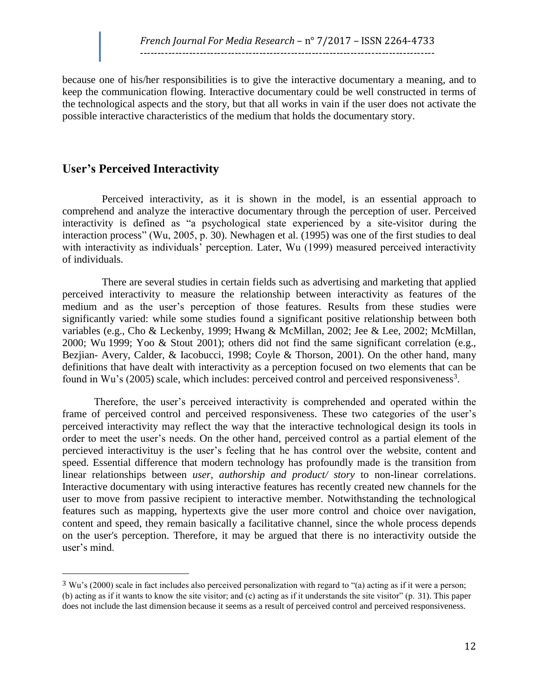because one of his/her responsibilities is to give the interactive documentary a meaning, and to keep the communication flowing. Interactive documentary could be well constructed in terms of the technological aspects and the story, but that all works in vain if the user does not activate the possible interactive characteristics of the medium that holds the documentary story.

# **User's Perceived Interactivity**

l

 Perceived interactivity, as it is shown in the model, is an essential approach to comprehend and analyze the interactive documentary through the perception of user. Perceived interactivity is defined as "a psychological state experienced by a site-visitor during the interaction process" (Wu, 2005, p. 30). Newhagen et al. (1995) was one of the first studies to deal with interactivity as individuals' perception. Later, Wu (1999) measured perceived interactivity of individuals.

 There are several studies in certain fields such as advertising and marketing that applied perceived interactivity to measure the relationship between interactivity as features of the medium and as the user's perception of those features. Results from these studies were significantly varied: while some studies found a significant positive relationship between both variables (e.g., Cho & Leckenby, 1999; Hwang & McMillan, 2002; Jee & Lee, 2002; McMillan, 2000; Wu 1999; Yoo & Stout 2001); others did not find the same significant correlation (e.g., Bezjian- Avery, Calder, & Iacobucci, 1998; Coyle & Thorson, 2001). On the other hand, many definitions that have dealt with interactivity as a perception focused on two elements that can be found in Wu's (2005) scale, which includes: perceived control and perceived responsiveness<sup>3</sup>.

Therefore, the user's perceived interactivity is comprehended and operated within the frame of perceived control and perceived responsiveness. These two categories of the user's perceived interactivity may reflect the way that the interactive technological design its tools in order to meet the user's needs. On the other hand, perceived control as a partial element of the percieved interactivituy is the user's feeling that he has control over the website, content and speed. Essential difference that modern technology has profoundly made is the transition from linear relationships between *user, authorship and product/ story* to non-linear correlations. Interactive documentary with using interactive features has recently created new channels for the user to move from passive recipient to interactive member. Notwithstanding the technological features such as mapping, hypertexts give the user more control and choice over navigation, content and speed, they remain basically a facilitative channel, since the whole process depends on the user's perception. Therefore, it may be argued that there is no interactivity outside the user's mind.

<sup>3</sup> Wu's (2000) scale in fact includes also perceived personalization with regard to "(a) acting as if it were a person; (b) acting as if it wants to know the site visitor; and (c) acting as if it understands the site visitor" (p. 31). This paper does not include the last dimension because it seems as a result of perceived control and perceived responsiveness.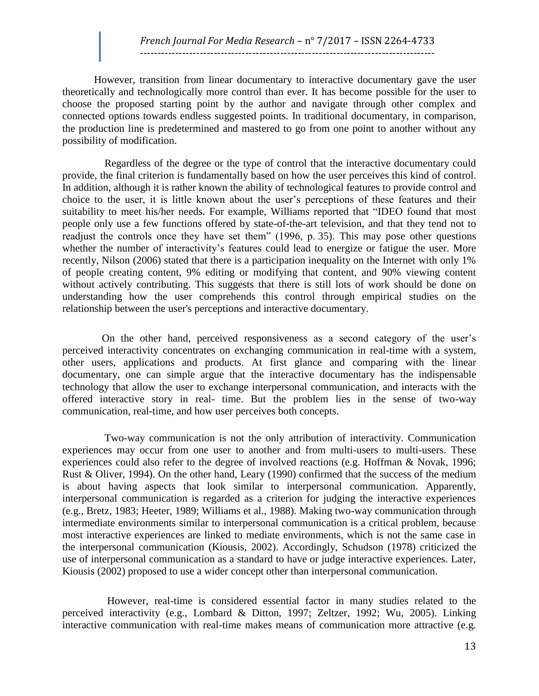However, transition from linear documentary to interactive documentary gave the user theoretically and technologically more control than ever. It has become possible for the user to choose the proposed starting point by the author and navigate through other complex and connected options towards endless suggested points. In traditional documentary, in comparison, the production line is predetermined and mastered to go from one point to another without any possibility of modification.

 Regardless of the degree or the type of control that the interactive documentary could provide, the final criterion is fundamentally based on how the user perceives this kind of control. In addition, although it is rather known the ability of technological features to provide control and choice to the user, it is little known about the user's perceptions of these features and their suitability to meet his/her needs. For example, Williams reported that "IDEO found that most people only use a few functions offered by state-of-the-art television, and that they tend not to readjust the controls once they have set them" (1996, p. 35). This may pose other questions whether the number of interactivity's features could lead to energize or fatigue the user. More recently, Nilson (2006) stated that there is a participation inequality on the Internet with only 1% of people creating content, 9% editing or modifying that content, and 90% viewing content without actively contributing. This suggests that there is still lots of work should be done on understanding how the user comprehends this control through empirical studies on the relationship between the user's perceptions and interactive documentary.

 On the other hand, perceived responsiveness as a second category of the user's perceived interactivity concentrates on exchanging communication in real-time with a system, other users, applications and products. At first glance and comparing with the linear documentary, one can simple argue that the interactive documentary has the indispensable technology that allow the user to exchange interpersonal communication, and interacts with the offered interactive story in real- time. But the problem lies in the sense of two-way communication, real-time, and how user perceives both concepts.

 Two-way communication is not the only attribution of interactivity. Communication experiences may occur from one user to another and from multi-users to multi-users. These experiences could also refer to the degree of involved reactions (e.g. Hoffman & Novak, 1996; Rust & Oliver, 1994). On the other hand, Leary (1990) confirmed that the success of the medium is about having aspects that look similar to interpersonal communication. Apparently, interpersonal communication is regarded as a criterion for judging the interactive experiences (e.g., Bretz, 1983; Heeter, 1989; Williams et al., 1988). Making two-way communication through intermediate environments similar to interpersonal communication is a critical problem, because most interactive experiences are linked to mediate environments, which is not the same case in the interpersonal communication (Kiousis, 2002). Accordingly, Schudson (1978) criticized the use of interpersonal communication as a standard to have or judge interactive experiences. Later, Kiousis (2002) proposed to use a wider concept other than interpersonal communication.

 However, real-time is considered essential factor in many studies related to the perceived interactivity (e.g., Lombard & Ditton, 1997; Zeltzer, 1992; Wu, 2005). Linking interactive communication with real-time makes means of communication more attractive (e.g.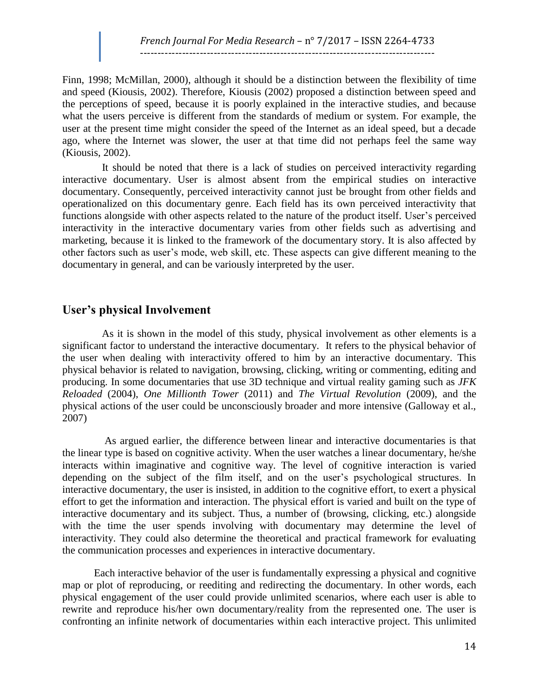Finn, 1998; McMillan, 2000), although it should be a distinction between the flexibility of time and speed (Kiousis, 2002). Therefore, Kiousis (2002) proposed a distinction between speed and the perceptions of speed, because it is poorly explained in the interactive studies, and because what the users perceive is different from the standards of medium or system. For example, the user at the present time might consider the speed of the Internet as an ideal speed, but a decade ago, where the Internet was slower, the user at that time did not perhaps feel the same way (Kiousis, 2002).

 It should be noted that there is a lack of studies on perceived interactivity regarding interactive documentary. User is almost absent from the empirical studies on interactive documentary. Consequently, perceived interactivity cannot just be brought from other fields and operationalized on this documentary genre. Each field has its own perceived interactivity that functions alongside with other aspects related to the nature of the product itself. User's perceived interactivity in the interactive documentary varies from other fields such as advertising and marketing, because it is linked to the framework of the documentary story. It is also affected by other factors such as user's mode, web skill, etc. These aspects can give different meaning to the documentary in general, and can be variously interpreted by the user.

#### **User's physical Involvement**

 As it is shown in the model of this study, physical involvement as other elements is a significant factor to understand the interactive documentary. It refers to the physical behavior of the user when dealing with interactivity offered to him by an interactive documentary. This physical behavior is related to navigation, browsing, clicking, writing or commenting, editing and producing. In some documentaries that use 3D technique and virtual reality gaming such as *JFK Reloaded* (2004), *One Millionth Tower* (2011) and *The Virtual Revolution* (2009), and the physical actions of the user could be unconsciously broader and more intensive (Galloway et al., 2007)

 As argued earlier, the difference between linear and interactive documentaries is that the linear type is based on cognitive activity. When the user watches a linear documentary, he/she interacts within imaginative and cognitive way. The level of cognitive interaction is varied depending on the subject of the film itself, and on the user's psychological structures. In interactive documentary, the user is insisted, in addition to the cognitive effort, to exert a physical effort to get the information and interaction. The physical effort is varied and built on the type of interactive documentary and its subject. Thus, a number of (browsing, clicking, etc.) alongside with the time the user spends involving with documentary may determine the level of interactivity. They could also determine the theoretical and practical framework for evaluating the communication processes and experiences in interactive documentary.

Each interactive behavior of the user is fundamentally expressing a physical and cognitive map or plot of reproducing, or reediting and redirecting the documentary. In other words, each physical engagement of the user could provide unlimited scenarios, where each user is able to rewrite and reproduce his/her own documentary/reality from the represented one. The user is confronting an infinite network of documentaries within each interactive project. This unlimited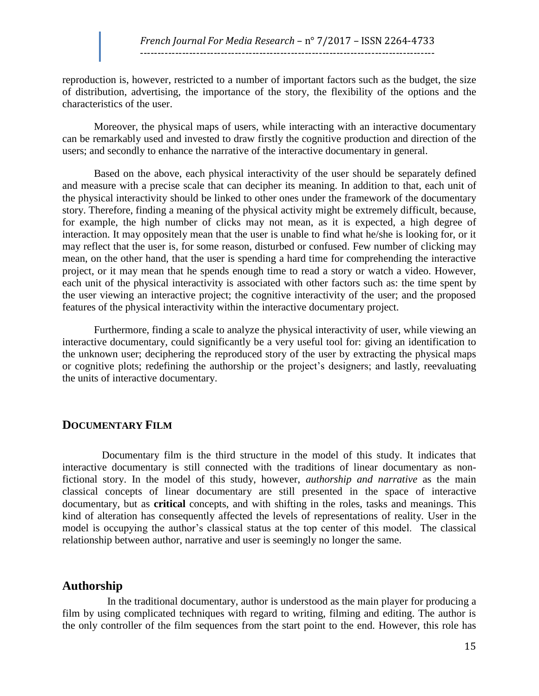reproduction is, however, restricted to a number of important factors such as the budget, the size of distribution, advertising, the importance of the story, the flexibility of the options and the characteristics of the user.

Moreover, the physical maps of users, while interacting with an interactive documentary can be remarkably used and invested to draw firstly the cognitive production and direction of the users; and secondly to enhance the narrative of the interactive documentary in general.

Based on the above, each physical interactivity of the user should be separately defined and measure with a precise scale that can decipher its meaning. In addition to that, each unit of the physical interactivity should be linked to other ones under the framework of the documentary story. Therefore, finding a meaning of the physical activity might be extremely difficult, because, for example, the high number of clicks may not mean, as it is expected, a high degree of interaction. It may oppositely mean that the user is unable to find what he/she is looking for, or it may reflect that the user is, for some reason, disturbed or confused. Few number of clicking may mean, on the other hand, that the user is spending a hard time for comprehending the interactive project, or it may mean that he spends enough time to read a story or watch a video. However, each unit of the physical interactivity is associated with other factors such as: the time spent by the user viewing an interactive project; the cognitive interactivity of the user; and the proposed features of the physical interactivity within the interactive documentary project.

Furthermore, finding a scale to analyze the physical interactivity of user, while viewing an interactive documentary, could significantly be a very useful tool for: giving an identification to the unknown user; deciphering the reproduced story of the user by extracting the physical maps or cognitive plots; redefining the authorship or the project's designers; and lastly, reevaluating the units of interactive documentary.

### **DOCUMENTARY FILM**

 Documentary film is the third structure in the model of this study. It indicates that interactive documentary is still connected with the traditions of linear documentary as nonfictional story. In the model of this study, however, *authorship and narrative* as the main classical concepts of linear documentary are still presented in the space of interactive documentary, but as **critical** concepts, and with shifting in the roles, tasks and meanings. This kind of alteration has consequently affected the levels of representations of reality*.* User in the model is occupying the author's classical status at the top center of this model. The classical relationship between author, narrative and user is seemingly no longer the same.

### **Authorship**

 In the traditional documentary, author is understood as the main player for producing a film by using complicated techniques with regard to writing, filming and editing. The author is the only controller of the film sequences from the start point to the end. However, this role has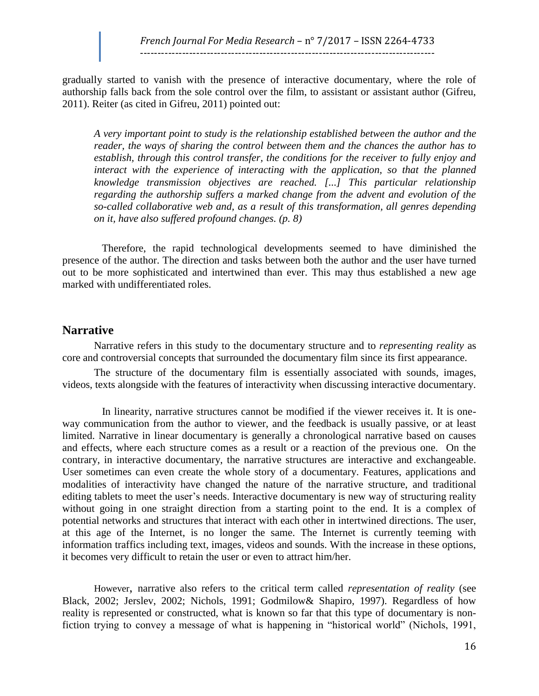gradually started to vanish with the presence of interactive documentary, where the role of authorship falls back from the sole control over the film, to assistant or assistant author (Gifreu, 2011). Reiter (as cited in Gifreu, 2011) pointed out:

*A very important point to study is the relationship established between the author and the reader, the ways of sharing the control between them and the chances the author has to establish, through this control transfer, the conditions for the receiver to fully enjoy and*  interact with the experience of interacting with the application, so that the planned *knowledge transmission objectives are reached. [...] This particular relationship regarding the authorship suffers a marked change from the advent and evolution of the so-called collaborative web and, as a result of this transformation, all genres depending on it, have also suffered profound changes. (p. 8)*

 Therefore, the rapid technological developments seemed to have diminished the presence of the author. The direction and tasks between both the author and the user have turned out to be more sophisticated and intertwined than ever. This may thus established a new age marked with undifferentiated roles.

# **Narrative**

Narrative refers in this study to the documentary structure and to *representing reality* as core and controversial concepts that surrounded the documentary film since its first appearance.

The structure of the documentary film is essentially associated with sounds, images, videos, texts alongside with the features of interactivity when discussing interactive documentary.

 In linearity, narrative structures cannot be modified if the viewer receives it. It is oneway communication from the author to viewer, and the feedback is usually passive, or at least limited. Narrative in linear documentary is generally a chronological narrative based on causes and effects, where each structure comes as a result or a reaction of the previous one. On the contrary, in interactive documentary, the narrative structures are interactive and exchangeable. User sometimes can even create the whole story of a documentary. Features, applications and modalities of interactivity have changed the nature of the narrative structure, and traditional editing tablets to meet the user's needs. Interactive documentary is new way of structuring reality without going in one straight direction from a starting point to the end. It is a complex of potential networks and structures that interact with each other in intertwined directions. The user, at this age of the Internet, is no longer the same. The Internet is currently teeming with information traffics including text, images, videos and sounds. With the increase in these options, it becomes very difficult to retain the user or even to attract him/her.

However, narrative also refers to the critical term called *representation of reality* (see Black, 2002; Jerslev, 2002; Nichols, 1991; Godmilow& Shapiro, 1997). Regardless of how reality is represented or constructed, what is known so far that this type of documentary is nonfiction trying to convey a message of what is happening in "historical world" (Nichols, 1991,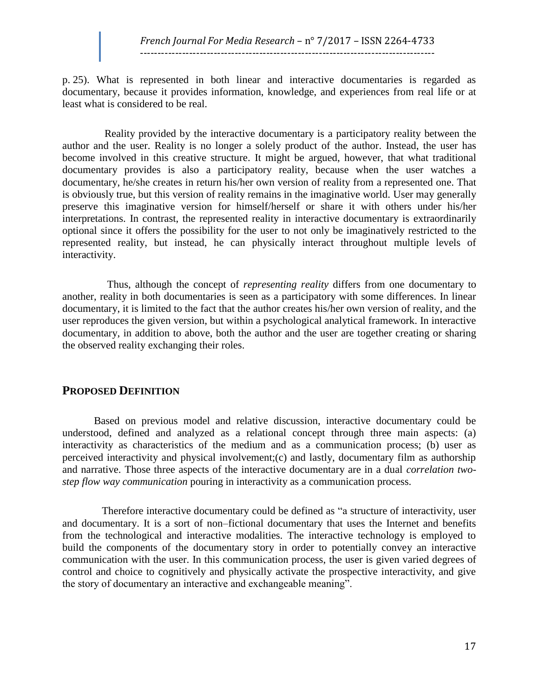p. 25). What is represented in both linear and interactive documentaries is regarded as documentary, because it provides information, knowledge, and experiences from real life or at least what is considered to be real.

Reality provided by the interactive documentary is a participatory reality between the author and the user. Reality is no longer a solely product of the author. Instead, the user has become involved in this creative structure. It might be argued, however, that what traditional documentary provides is also a participatory reality, because when the user watches a documentary, he/she creates in return his/her own version of reality from a represented one. That is obviously true, but this version of reality remains in the imaginative world. User may generally preserve this imaginative version for himself/herself or share it with others under his/her interpretations. In contrast, the represented reality in interactive documentary is extraordinarily optional since it offers the possibility for the user to not only be imaginatively restricted to the represented reality, but instead, he can physically interact throughout multiple levels of interactivity.

 Thus, although the concept of *representing reality* differs from one documentary to another, reality in both documentaries is seen as a participatory with some differences. In linear documentary, it is limited to the fact that the author creates his/her own version of reality, and the user reproduces the given version, but within a psychological analytical framework. In interactive documentary, in addition to above, both the author and the user are together creating or sharing the observed reality exchanging their roles.

# **PROPOSED DEFINITION**

Based on previous model and relative discussion, interactive documentary could be understood, defined and analyzed as a relational concept through three main aspects: (a) interactivity as characteristics of the medium and as a communication process; (b) user as perceived interactivity and physical involvement;(c) and lastly, documentary film as authorship and narrative. Those three aspects of the interactive documentary are in a dual *correlation twostep flow way communication* pouring in interactivity as a communication process.

 Therefore interactive documentary could be defined as "a structure of interactivity, user and documentary. It is a sort of non–fictional documentary that uses the Internet and benefits from the technological and interactive modalities. The interactive technology is employed to build the components of the documentary story in order to potentially convey an interactive communication with the user. In this communication process, the user is given varied degrees of control and choice to cognitively and physically activate the prospective interactivity, and give the story of documentary an interactive and exchangeable meaning".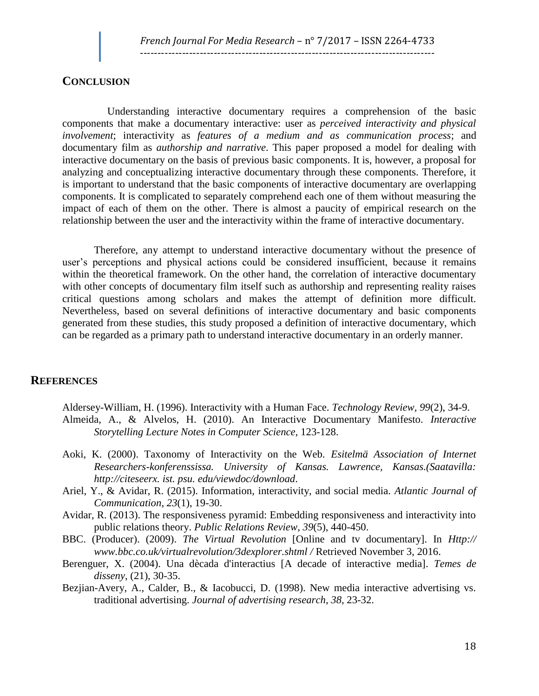### **CONCLUSION**

Understanding interactive documentary requires a comprehension of the basic components that make a documentary interactive: user as *perceived interactivity and physical involvement*; interactivity as *features of a medium and as communication process*; and documentary film as *authorship and narrative*. This paper proposed a model for dealing with interactive documentary on the basis of previous basic components. It is, however, a proposal for analyzing and conceptualizing interactive documentary through these components. Therefore, it is important to understand that the basic components of interactive documentary are overlapping components. It is complicated to separately comprehend each one of them without measuring the impact of each of them on the other. There is almost a paucity of empirical research on the relationship between the user and the interactivity within the frame of interactive documentary.

Therefore, any attempt to understand interactive documentary without the presence of user's perceptions and physical actions could be considered insufficient, because it remains within the theoretical framework. On the other hand, the correlation of interactive documentary with other concepts of documentary film itself such as authorship and representing reality raises critical questions among scholars and makes the attempt of definition more difficult. Nevertheless, based on several definitions of interactive documentary and basic components generated from these studies, this study proposed a definition of interactive documentary, which can be regarded as a primary path to understand interactive documentary in an orderly manner.

### **REFERENCES**

Aldersey-William, H. (1996). Interactivity with a Human Face. *Technology Review, 99*(2), 34-9. Almeida, A., & Alvelos, H. (2010). An Interactive Documentary Manifesto. *Interactive Storytelling Lecture Notes in Computer Science,* 123-128.

- Aoki, K. (2000). Taxonomy of Interactivity on the Web. *Esitelmä Association of Internet Researchers-konferenssissa. University of Kansas. Lawrence, Kansas.(Saatavilla: http://citeseerx. ist. psu. edu/viewdoc/download*.
- Ariel, Y., & Avidar, R. (2015). Information, interactivity, and social media. *Atlantic Journal of Communication*, *23*(1), 19-30.
- Avidar, R. (2013). The responsiveness pyramid: Embedding responsiveness and interactivity into public relations theory. *Public Relations Review*, *39*(5), 440-450.
- BBC. (Producer). (2009). *The Virtual Revolution* [Online and tv documentary]. In *Http:// www.bbc.co.uk/virtualrevolution/3dexplorer.shtml /* Retrieved November 3, 2016.
- Berenguer, X. (2004). Una dècada d'interactius [A decade of interactive media]. *Temes de disseny*, (21), 30-35.
- Bezjian-Avery, A., Calder, B., & Iacobucci, D. (1998). New media interactive advertising vs. traditional advertising. *Journal of advertising research*, *38*, 23-32.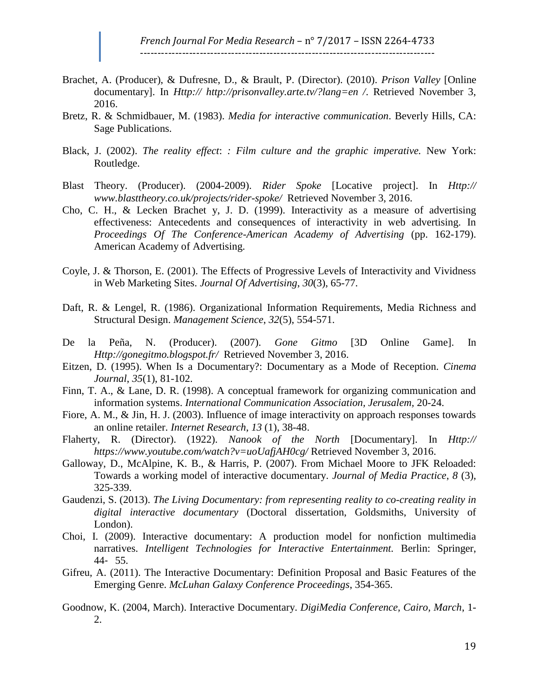- Brachet, A. (Producer), & Dufresne, D., & Brault, P. (Director). (2010). *Prison Valley* [Online documentary]. In *Http:// http://prisonvalley.arte.tv/?lang=en /*. Retrieved November 3, 2016.
- Bretz, R. & Schmidbauer, M. (1983). *Media for interactive communication*. Beverly Hills, CA: Sage Publications.
- Black, J. (2002). *The reality effect*: *: Film culture and the graphic imperative.* New York: Routledge.
- Blast Theory. (Producer). (2004-2009). *Rider Spoke* [Locative project]. In *Http:// www.blasttheory.co.uk/projects/rider-spoke/* Retrieved November 3, 2016.
- Cho, C. H., & Lecken Brachet y, J. D. (1999). Interactivity as a measure of advertising effectiveness: Antecedents and consequences of interactivity in web advertising. In *Proceedings Of The Conference-American Academy of Advertising* (pp. 162-179). American Academy of Advertising.
- Coyle, J. & Thorson, E. (2001). The Effects of Progressive Levels of Interactivity and Vividness in Web Marketing Sites. *Journal Of Advertising*, *30*(3), 65-77.
- Daft, R. & Lengel, R. (1986). Organizational Information Requirements, Media Richness and Structural Design. *Management Science*, *32*(5), 554-571.
- De la Peña, N. (Producer). (2007). *Gone Gitmo* [3D Online Game]. In *Http://gonegitmo.blogspot.fr/* Retrieved November 3, 2016.
- Eitzen, D. (1995). When Is a Documentary?: Documentary as a Mode of Reception. *Cinema Journal*, *35*(1), 81-102.
- Finn, T. A., & Lane, D. R. (1998). A conceptual framework for organizing communication and information systems. *International Communication Association, Jerusalem,* 20-24.
- Fiore, A. M., & Jin, H. J. (2003). Influence of image interactivity on approach responses towards an online retailer. *Internet Research*, *13* (1), 38-48.
- Flaherty, R. (Director). (1922). *Nanook of the North* [Documentary]. In *Http:// https://www.youtube.com/watch?v=uoUafjAH0cg/* Retrieved November 3, 2016.
- Galloway, D., McAlpine, K. B., & Harris, P. (2007). From Michael Moore to JFK Reloaded: Towards a working model of interactive documentary. *Journal of Media Practice*, *8* (3), 325-339.
- Gaudenzi, S. (2013). *The Living Documentary: from representing reality to co-creating reality in digital interactive documentary* (Doctoral dissertation, Goldsmiths, University of London).
- Choi, I. (2009). Interactive documentary: A production model for nonfiction multimedia narratives. *Intelligent Technologies for Interactive Entertainment.* Berlin: Springer, 44‐ 55.
- Gifreu, A. (2011). The Interactive Documentary: Definition Proposal and Basic Features of the Emerging Genre. *McLuhan Galaxy Conference Proceedings*, 354-365.
- Goodnow, K. (2004, March). Interactive Documentary. *DigiMedia Conference, Cairo, March*, 1- 2.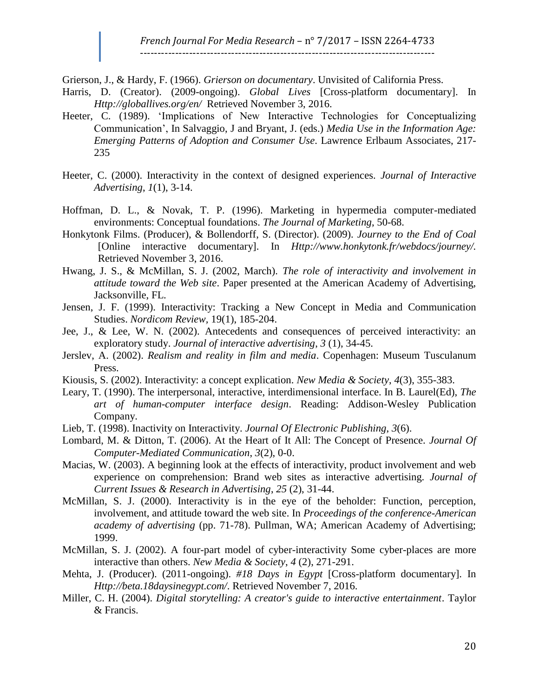Grierson, J., & Hardy, F. (1966). *Grierson on documentary*. Unvisited of California Press.

- Harris, D. (Creator). (2009-ongoing). *Global Lives* [Cross-platform documentary]. In *Http://globallives.org/en/* Retrieved November 3, 2016.
- Heeter, C. (1989). 'Implications of New Interactive Technologies for Conceptualizing Communication', In Salvaggio, J and Bryant, J. (eds.) *Media Use in the Information Age: Emerging Patterns of Adoption and Consumer Use*. Lawrence Erlbaum Associates, 217- 235
- Heeter, C. (2000). Interactivity in the context of designed experiences. *Journal of Interactive Advertising*, *1*(1), 3-14.
- Hoffman, D. L., & Novak, T. P. (1996). Marketing in hypermedia computer-mediated environments: Conceptual foundations. *The Journal of Marketing*, 50-68.
- Honkytonk Films. (Producer), & Bollendorff, S. (Director). (2009). *Journey to the End of Coal*  [Online interactive documentary]. In *Http://www.honkytonk.fr/webdocs/journey/.*  Retrieved November 3, 2016.
- Hwang, J. S., & McMillan, S. J. (2002, March). *The role of interactivity and involvement in attitude toward the Web site*. Paper presented at the American Academy of Advertising, Jacksonville, FL.
- Jensen, J. F. (1999). Interactivity: Tracking a New Concept in Media and Communication Studies. *Nordicom Review,* 19(1), 185-204.
- Jee, J., & Lee, W. N. (2002). Antecedents and consequences of perceived interactivity: an exploratory study. *Journal of interactive advertising*, *3* (1), 34-45.
- Jerslev, A. (2002). *Realism and reality in film and media*. Copenhagen: Museum Tusculanum Press.
- Kiousis, S. (2002). Interactivity: a concept explication. *New Media & Society*, *4*(3), 355-383.
- Leary, T. (1990). The interpersonal, interactive, interdimensional interface. In B. Laurel(Ed), *The art of human-computer interface design*. Reading: Addison-Wesley Publication Company.
- Lieb, T. (1998). Inactivity on Interactivity. *Journal Of Electronic Publishing*, *3*(6).
- Lombard, M. & Ditton, T. (2006). At the Heart of It All: The Concept of Presence. *Journal Of Computer-Mediated Communication*, *3*(2), 0-0.
- Macias, W. (2003). A beginning look at the effects of interactivity, product involvement and web experience on comprehension: Brand web sites as interactive advertising. *Journal of Current Issues & Research in Advertising*, *25* (2), 31-44.
- McMillan, S. J. (2000). Interactivity is in the eye of the beholder: Function, perception, involvement, and attitude toward the web site. In *Proceedings of the conference-American academy of advertising* (pp. 71-78). Pullman, WA; American Academy of Advertising; 1999.
- McMillan, S. J. (2002). A four-part model of cyber-interactivity Some cyber-places are more interactive than others. *New Media & Society*, *4* (2), 271-291.
- Mehta, J. (Producer). (2011-ongoing). *#18 Days in Egypt* [Cross-platform documentary]. In *Http://beta.18daysinegypt.com/*. Retrieved November 7, 2016.
- Miller, C. H. (2004). *Digital storytelling: A creator's guide to interactive entertainment*. Taylor & Francis.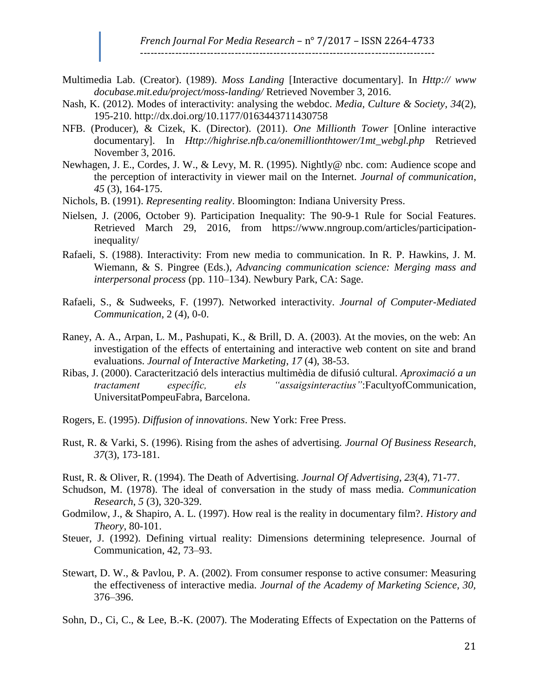- Multimedia Lab. (Creator). (1989). *Moss Landing* [Interactive documentary]. In *Http:// www docubase.mit.edu/project/moss-landing/* Retrieved November 3, 2016.
- Nash, K. (2012). Modes of interactivity: analysing the webdoc. *Media, Culture & Society*, *34*(2), 195-210.<http://dx.doi.org/10.1177/0163443711430758>
- NFB. (Producer), & Cizek, K. (Director). (2011). *One Millionth Tower* [Online interactive documentary]. In *Http://highrise.nfb.ca/onemillionthtower/1mt\_webgl.php* Retrieved November 3, 2016.
- Newhagen, J. E., Cordes, J. W., & Levy, M. R. (1995). Nightly@ nbc. com: Audience scope and the perception of interactivity in viewer mail on the Internet. *Journal of communication*, *45* (3), 164-175.
- Nichols, B. (1991). *Representing reality*. Bloomington: Indiana University Press.
- Nielsen, J. (2006, October 9). Participation Inequality: The 90-9-1 Rule for Social Features. Retrieved March 29, 2016, from https://www.nngroup.com/articles/participationinequality/
- Rafaeli, S. (1988). Interactivity: From new media to communication. In R. P. Hawkins, J. M. Wiemann, & S. Pingree (Eds.), *Advancing communication science: Merging mass and interpersonal process* (pp. 110–134). Newbury Park, CA: Sage.
- Rafaeli, S., & Sudweeks, F. (1997). Networked interactivity. *Journal of Computer-Mediated Communication*, 2 (4), 0-0.
- Raney, A. A., Arpan, L. M., Pashupati, K., & Brill, D. A. (2003). At the movies, on the web: An investigation of the effects of entertaining and interactive web content on site and brand evaluations. *Journal of Interactive Marketing*, *17* (4), 38-53.
- Ribas, J. (2000). Caracterització dels interactius multimèdia de difusió cultural*. Aproximació a un tractament específic, els "assaigsinteractius"*:FacultyofCommunication, UniversitatPompeuFabra, Barcelona.
- Rogers, E. (1995). *Diffusion of innovations*. New York: Free Press.
- Rust, R. & Varki, S. (1996). Rising from the ashes of advertising. *Journal Of Business Research*, *37*(3), 173-181.
- Rust, R. & Oliver, R. (1994). The Death of Advertising. *Journal Of Advertising*, *23*(4), 71-77.
- Schudson, M. (1978). The ideal of conversation in the study of mass media. *Communication Research*, *5* (3), 320-329.
- Godmilow, J., & Shapiro, A. L. (1997). How real is the reality in documentary film?. *History and Theory*, 80-101.
- Steuer, J. (1992). Defining virtual reality: Dimensions determining telepresence. Journal of Communication, 42, 73–93.
- Stewart, D. W., & Pavlou, P. A. (2002). From consumer response to active consumer: Measuring the effectiveness of interactive media. *Journal of the Academy of Marketing Science, 30,* 376–396.
- Sohn, D., Ci, C., & Lee, B.-K. (2007). The Moderating Effects of Expectation on the Patterns of